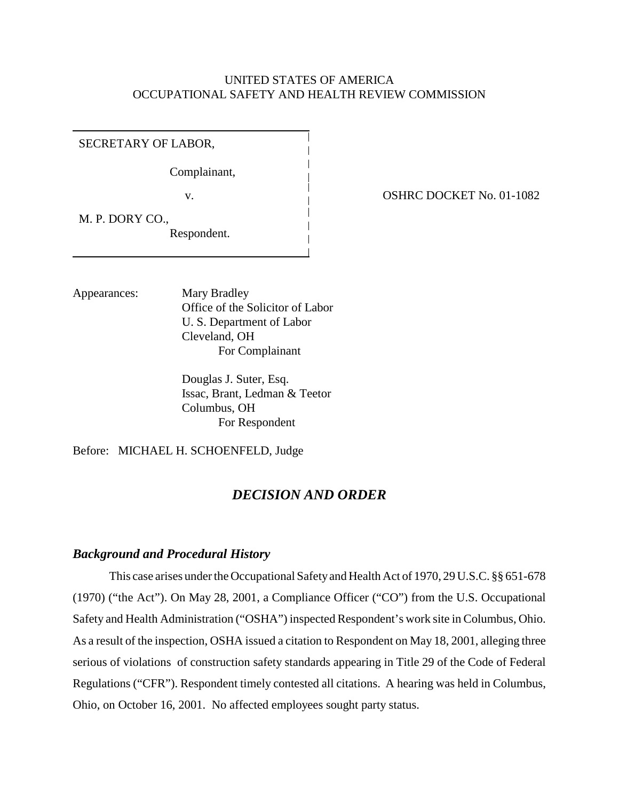### UNITED STATES OF AMERICA OCCUPATIONAL SAFETY AND HEALTH REVIEW COMMISSION

SECRETARY OF LABOR,

Complainant,

v.

OSHRC DOCKET No. 01-1082

M. P. DORY CO.,

Respondent.

Appearances: Mary Bradley Office of the Solicitor of Labor U. S. Department of Labor Cleveland, OH For Complainant

> Douglas J. Suter, Esq. Issac, Brant, Ledman & Teetor Columbus, OH For Respondent

Before: MICHAEL H. SCHOENFELD, Judge

# *DECISION AND ORDER*

#### *Background and Procedural History*

This case arises under the Occupational Safety and Health Act of 1970, 29 U.S.C. §§ 651-678 (1970) ("the Act"). On May 28, 2001, a Compliance Officer ("CO") from the U.S. Occupational Safety and Health Administration ("OSHA") inspected Respondent's work site in Columbus, Ohio. As a result of the inspection, OSHA issued a citation to Respondent on May 18, 2001, alleging three serious of violations of construction safety standards appearing in Title 29 of the Code of Federal Regulations ("CFR"). Respondent timely contested all citations. A hearing was held in Columbus, Ohio, on October 16, 2001. No affected employees sought party status.